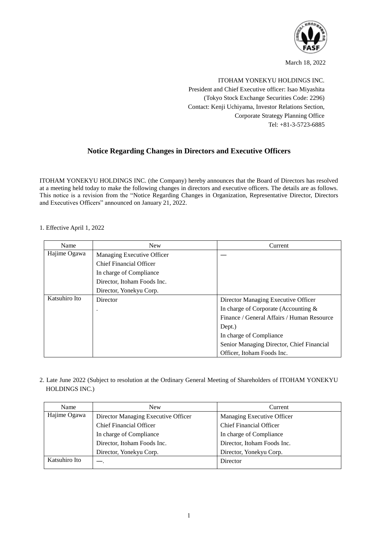

March 18, 2022

ITOHAM YONEKYU HOLDINGS INC. President and Chief Executive officer: Isao Miyashita (Tokyo Stock Exchange Securities Code: 2296) Contact: Kenji Uchiyama, Investor Relations Section, Corporate Strategy Planning Office Tel: +81-3-5723-6885

## **Notice Regarding Changes in Directors and Executive Officers**

ITOHAM YONEKYU HOLDINGS INC. (the Company) hereby announces that the Board of Directors has resolved at a meeting held today to make the following changes in directors and executive officers. The details are as follows. This notice is a revision from the "Notice Regarding Changes in Organization, Representative Director, Directors and Executives Officers" announced on January 21, 2022.

#### 1. Effective April 1, 2022

| Name          | <b>New</b>                  | Current                                    |
|---------------|-----------------------------|--------------------------------------------|
| Hajime Ogawa  | Managing Executive Officer  |                                            |
|               | Chief Financial Officer     |                                            |
|               | In charge of Compliance     |                                            |
|               | Director, Itoham Foods Inc. |                                            |
|               | Director, Yonekyu Corp.     |                                            |
| Katsuhiro Ito | Director                    | Director Managing Executive Officer        |
|               |                             | In charge of Corporate (Accounting $\&$    |
|               |                             | Finance / General Affairs / Human Resource |
|               |                             | Dept.)                                     |
|               |                             | In charge of Compliance                    |
|               |                             | Senior Managing Director, Chief Financial  |
|               |                             | Officer, Itoham Foods Inc.                 |

2. Late June 2022 (Subject to resolution at the Ordinary General Meeting of Shareholders of ITOHAM YONEKYU HOLDINGS INC.)

| Name          | <b>New</b>                          | Current                        |
|---------------|-------------------------------------|--------------------------------|
| Hajime Ogawa  | Director Managing Executive Officer | Managing Executive Officer     |
|               | <b>Chief Financial Officer</b>      | <b>Chief Financial Officer</b> |
|               | In charge of Compliance             | In charge of Compliance        |
|               | Director, Itoham Foods Inc.         | Director, Itoham Foods Inc.    |
|               | Director, Yonekyu Corp.             | Director, Yonekyu Corp.        |
| Katsuhiro Ito |                                     | Director                       |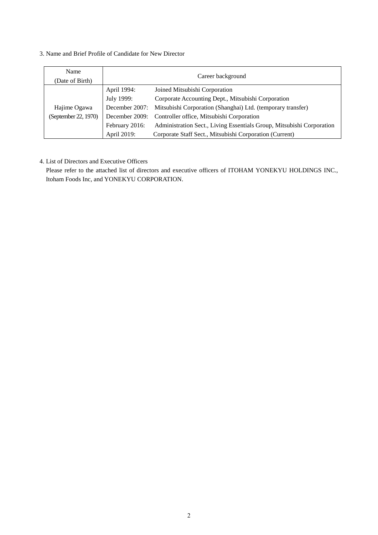#### 3. Name and Brief Profile of Candidate for New Director

| Name<br>(Date of Birth) | Career background |                                                                            |
|-------------------------|-------------------|----------------------------------------------------------------------------|
|                         | April 1994:       | Joined Mitsubishi Corporation                                              |
|                         | July 1999:        | Corporate Accounting Dept., Mitsubishi Corporation                         |
| Hajime Ogawa            |                   | December 2007: Mitsubishi Corporation (Shanghai) Ltd. (temporary transfer) |
| (September 22, 1970)    |                   | December 2009: Controller office, Mitsubishi Corporation                   |
|                         | February 2016:    | Administration Sect., Living Essentials Group, Mitsubishi Corporation      |
|                         | April 2019:       | Corporate Staff Sect., Mitsubishi Corporation (Current)                    |

#### 4. List of Directors and Executive Officers

 Please refer to the attached list of directors and executive officers of ITOHAM YONEKYU HOLDINGS INC., Itoham Foods Inc, and YONEKYU CORPORATION.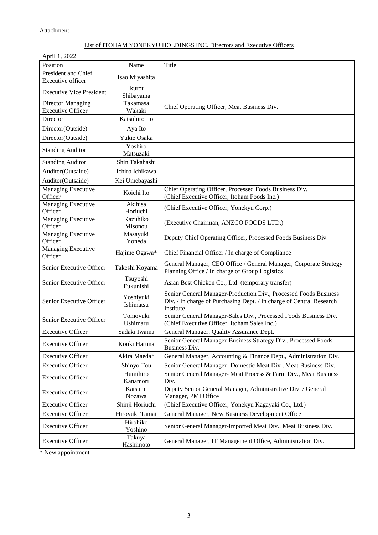| April 1, 2022                                        |                        |                                                                                                                                                       |
|------------------------------------------------------|------------------------|-------------------------------------------------------------------------------------------------------------------------------------------------------|
| Position                                             | Name                   | Title                                                                                                                                                 |
| President and Chief                                  | Isao Miyashita         |                                                                                                                                                       |
| Executive officer                                    |                        |                                                                                                                                                       |
| <b>Executive Vice President</b>                      | Ikurou<br>Shibayama    |                                                                                                                                                       |
| <b>Director Managing</b><br><b>Executive Officer</b> | Takamasa<br>Wakaki     | Chief Operating Officer, Meat Business Div.                                                                                                           |
| Director                                             | Katsuhiro Ito          |                                                                                                                                                       |
| Director(Outside)                                    | Aya Ito                |                                                                                                                                                       |
| Director(Outside)                                    | Yukie Osaka            |                                                                                                                                                       |
| <b>Standing Auditor</b>                              | Yoshiro<br>Matsuzaki   |                                                                                                                                                       |
| <b>Standing Auditor</b>                              | Shin Takahashi         |                                                                                                                                                       |
| Auditor(Outsaide)                                    | Ichiro Ichikawa        |                                                                                                                                                       |
| Auditor(Outsaide)                                    | Kei Umebayashi         |                                                                                                                                                       |
| <b>Managing Executive</b>                            |                        | Chief Operating Officer, Processed Foods Business Div.                                                                                                |
| Officer                                              | Koichi Ito             | (Chief Executive Officer, Itoham Foods Inc.)                                                                                                          |
| Managing Executive<br>Officer                        | Akihisa<br>Horiuchi    | (Chief Executive Officer, Yonekyu Corp.)                                                                                                              |
| Managing Executive<br>Officer                        | Kazuhiko<br>Misonou    | (Executive Chairman, ANZCO FOODS LTD.)                                                                                                                |
| Managing Executive<br>Officer                        | Masayuki<br>Yoneda     | Deputy Chief Operating Officer, Processed Foods Business Div.                                                                                         |
| Managing Executive<br>Officer                        | Hajime Ogawa*          | Chief Financial Officer / In charge of Compliance                                                                                                     |
| Senior Executive Officer                             | Takeshi Koyama         | General Manager, CEO Office / General Manager, Corporate Strategy<br>Planning Office / In charge of Group Logistics                                   |
| Senior Executive Officer                             | Tsuyoshi<br>Fukunishi  | Asian Best Chicken Co., Ltd. (temporary transfer)                                                                                                     |
| Senior Executive Officer                             | Yoshiyuki<br>Ishimatsu | Senior General Manager-Production Div., Processed Foods Business<br>Div. / In charge of Purchasing Dept. / In charge of Central Research<br>Institute |
| Senior Executive Officer                             | Tomoyuki<br>Ushimaru   | Senior General Manager-Sales Div., Processed Foods Business Div.<br>(Chief Executive Officer, Itoham Sales Inc.)                                      |
| <b>Executive Officer</b>                             | Sadaki Iwama           | General Manager, Quality Assurance Dept.                                                                                                              |
| <b>Executive Officer</b>                             | Kouki Haruna           | Senior General Manager-Business Strategy Div., Processed Foods<br>Business Div.                                                                       |
| <b>Executive Officer</b>                             | Akira Maeda*           | General Manager, Accounting & Finance Dept., Administration Div.                                                                                      |
| <b>Executive Officer</b>                             | Shinyo Tou             | Senior General Manager- Domestic Meat Div., Meat Business Div.                                                                                        |
| <b>Executive Officer</b>                             | Humihiro<br>Kanamori   | Senior General Manager- Meat Process & Farm Div., Meat Business<br>Div.                                                                               |
| <b>Executive Officer</b>                             | Katsumi<br>Nozawa      | Deputy Senior General Manager, Administrative Div. / General<br>Manager, PMI Office                                                                   |
| <b>Executive Officer</b>                             | Shinji Horiuchi        | (Chief Executive Officer, Yonekyu Kagayaki Co., Ltd.)                                                                                                 |
| <b>Executive Officer</b>                             | Hiroyuki Tamai         | General Manager, New Business Development Office                                                                                                      |
| <b>Executive Officer</b>                             | Hirohiko<br>Yoshino    | Senior General Manager-Imported Meat Div., Meat Business Div.                                                                                         |
| <b>Executive Officer</b>                             | Takuya<br>Hashimoto    | General Manager, IT Management Office, Administration Div.                                                                                            |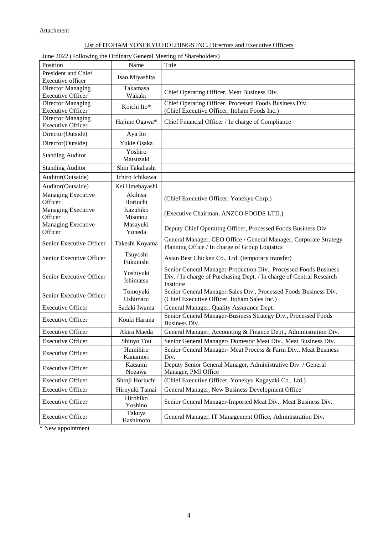#### June 2022 (Following the Ordinary General Meeting of Shareholders)

| Position                                             | Name                   | Title                                                                                                                                                 |
|------------------------------------------------------|------------------------|-------------------------------------------------------------------------------------------------------------------------------------------------------|
| <b>President and Chief</b>                           | Isao Miyashita         |                                                                                                                                                       |
| Executive officer                                    |                        |                                                                                                                                                       |
| <b>Director Managing</b><br><b>Executive Officer</b> | Takamasa<br>Wakaki     | Chief Operating Officer, Meat Business Div.                                                                                                           |
| <b>Director Managing</b>                             | Koichi Ito*            | Chief Operating Officer, Processed Foods Business Div.                                                                                                |
| <b>Executive Officer</b>                             |                        | (Chief Executive Officer, Itoham Foods Inc.)                                                                                                          |
| Director Managing<br><b>Executive Officer</b>        | Hajime Ogawa*          | Chief Financial Officer / In charge of Compliance                                                                                                     |
| Director(Outside)                                    | Aya Ito                |                                                                                                                                                       |
| Director(Outside)                                    | Yukie Osaka            |                                                                                                                                                       |
| <b>Standing Auditor</b>                              | Yoshiro<br>Matsuzaki   |                                                                                                                                                       |
| <b>Standing Auditor</b>                              | Shin Takahashi         |                                                                                                                                                       |
| Auditor(Outsaide)                                    | Ichiro Ichikawa        |                                                                                                                                                       |
| Auditor(Outsaide)                                    | Kei Umebayashi         |                                                                                                                                                       |
| <b>Managing Executive</b><br>Officer                 | Akihisa<br>Horiuchi    | (Chief Executive Officer, Yonekyu Corp.)                                                                                                              |
| Managing Executive<br>Officer                        | Kazuhiko<br>Misonou    | (Executive Chairman, ANZCO FOODS LTD.)                                                                                                                |
| Managing Executive<br>Officer                        | Masayuki<br>Yoneda     | Deputy Chief Operating Officer, Processed Foods Business Div.                                                                                         |
| Senior Executive Officer                             | Takeshi Koyama         | General Manager, CEO Office / General Manager, Corporate Strategy<br>Planning Office / In charge of Group Logistics                                   |
| Senior Executive Officer                             | Tsuyoshi<br>Fukunishi  | Asian Best Chicken Co., Ltd. (temporary transfer)                                                                                                     |
| Senior Executive Officer                             | Yoshiyuki<br>Ishimatsu | Senior General Manager-Production Div., Processed Foods Business<br>Div. / In charge of Purchasing Dept. / In charge of Central Research<br>Institute |
| Senior Executive Officer                             | Tomoyuki<br>Ushimaru   | Senior General Manager-Sales Div., Processed Foods Business Div.<br>(Chief Executive Officer, Itoham Sales Inc.)                                      |
| <b>Executive Officer</b>                             | Sadaki Iwama           | General Manager, Quality Assurance Dept.                                                                                                              |
| <b>Executive Officer</b>                             | Kouki Haruna           | Senior General Manager-Business Strategy Div., Processed Foods<br><b>Business Div.</b>                                                                |
| <b>Executive Officer</b>                             | Akira Maeda            | General Manager, Accounting & Finance Dept., Administration Div.                                                                                      |
| <b>Executive Officer</b>                             | Shinyo Tou             | Senior General Manager- Domestic Meat Div., Meat Business Div.                                                                                        |
| <b>Executive Officer</b>                             | Humihiro<br>Kanamori   | Senior General Manager- Meat Process & Farm Div., Meat Business<br>Div.                                                                               |
| <b>Executive Officer</b>                             | Katsumi<br>Nozawa      | Deputy Senior General Manager, Administrative Div. / General<br>Manager, PMI Office                                                                   |
| <b>Executive Officer</b>                             | Shinji Horiuchi        | (Chief Executive Officer, Yonekyu Kagayaki Co., Ltd.)                                                                                                 |
| <b>Executive Officer</b>                             | Hiroyuki Tamai         | General Manager, New Business Development Office                                                                                                      |
| <b>Executive Officer</b>                             | Hirohiko<br>Yoshino    | Senior General Manager-Imported Meat Div., Meat Business Div.                                                                                         |
| <b>Executive Officer</b>                             | Takuya<br>Hashimoto    | General Manager, IT Management Office, Administration Div.                                                                                            |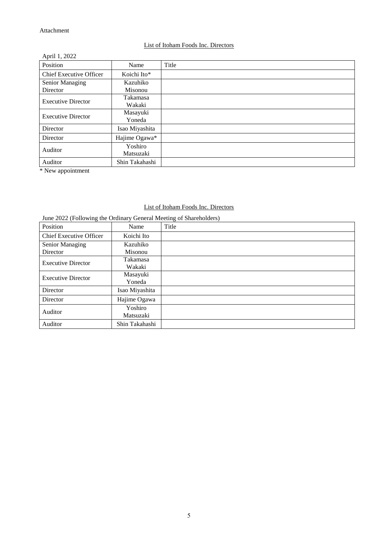#### List of Itoham Foods Inc. Directors

| April 1, 2022                  |                |       |
|--------------------------------|----------------|-------|
| Position                       | Name           | Title |
| <b>Chief Executive Officer</b> | Koichi Ito*    |       |
| <b>Senior Managing</b>         | Kazuhiko       |       |
| Director                       | Misonou        |       |
| <b>Executive Director</b>      | Takamasa       |       |
|                                | Wakaki         |       |
| <b>Executive Director</b>      | Masayuki       |       |
|                                | Yoneda         |       |
| Director                       | Isao Miyashita |       |
| Director                       | Hajime Ogawa*  |       |
| Auditor                        | Yoshiro        |       |
|                                | Matsuzaki      |       |
| Auditor                        | Shin Takahashi |       |

\* New appointment

# List of Itoham Foods Inc. Directors

June 2022 (Following the Ordinary General Meeting of Shareholders)

| Position                       | Name           | Title |
|--------------------------------|----------------|-------|
| <b>Chief Executive Officer</b> | Koichi Ito     |       |
| Senior Managing                | Kazuhiko       |       |
| Director                       | Misonou        |       |
| <b>Executive Director</b>      | Takamasa       |       |
|                                | Wakaki         |       |
| <b>Executive Director</b>      | Masayuki       |       |
|                                | Yoneda         |       |
| Director                       | Isao Miyashita |       |
| Director                       | Hajime Ogawa   |       |
| Auditor                        | Yoshiro        |       |
|                                | Matsuzaki      |       |
| Auditor                        | Shin Takahashi |       |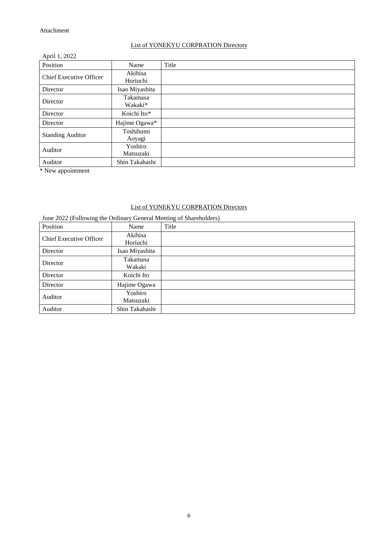## List of YONEKYU CORPRATION Directors

| April 1, 2022                  |                      |       |
|--------------------------------|----------------------|-------|
| Position                       | Name                 | Title |
| <b>Chief Executive Officer</b> | Akihisa<br>Horiuchi  |       |
| Director                       | Isao Miyashita       |       |
| Director                       | Takamasa<br>Wakaki*  |       |
| Director                       | Koichi Ito*          |       |
| Director                       | Hajime Ogawa*        |       |
| <b>Standing Auditor</b>        | Toshihumi<br>Aoyagi  |       |
| Auditor                        | Yoshiro<br>Matsuzaki |       |
| Auditor                        | Shin Takahashi       |       |

\* New appointment

# List of YONEKYU CORPRATION Directors

| ັ<br>Position                  | Name                 | ັ<br>Title |
|--------------------------------|----------------------|------------|
| <b>Chief Executive Officer</b> | Akihisa              |            |
|                                | Horiuchi             |            |
| Director                       | Isao Miyashita       |            |
| Director                       | Takamasa<br>Wakaki   |            |
| Director                       | Koichi Ito           |            |
| Director                       | Hajime Ogawa         |            |
| Auditor                        | Yoshiro<br>Matsuzaki |            |
| Auditor                        | Shin Takahashi       |            |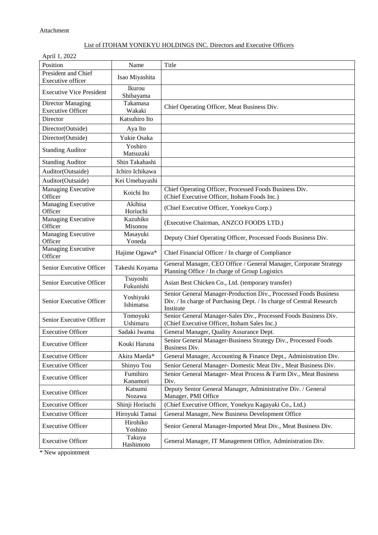| April 1, 2022                                        |                        |                                                                                                                                                       |
|------------------------------------------------------|------------------------|-------------------------------------------------------------------------------------------------------------------------------------------------------|
| Position                                             | Name                   | Title                                                                                                                                                 |
| President and Chief                                  | Isao Miyashita         |                                                                                                                                                       |
| Executive officer                                    |                        |                                                                                                                                                       |
| <b>Executive Vice President</b>                      | Ikurou<br>Shibayama    |                                                                                                                                                       |
| <b>Director Managing</b><br><b>Executive Officer</b> | Takamasa<br>Wakaki     | Chief Operating Officer, Meat Business Div.                                                                                                           |
| Director                                             | Katsuhiro Ito          |                                                                                                                                                       |
| Director(Outside)                                    | Aya Ito                |                                                                                                                                                       |
| Director(Outside)                                    | Yukie Osaka            |                                                                                                                                                       |
|                                                      | Yoshiro                |                                                                                                                                                       |
| <b>Standing Auditor</b>                              | Matsuzaki              |                                                                                                                                                       |
| <b>Standing Auditor</b>                              | Shin Takahashi         |                                                                                                                                                       |
| Auditor(Outsaide)                                    | Ichiro Ichikawa        |                                                                                                                                                       |
| Auditor(Outsaide)                                    | Kei Umebayashi         |                                                                                                                                                       |
| Managing Executive                                   | Koichi Ito             | Chief Operating Officer, Processed Foods Business Div.                                                                                                |
| Officer                                              |                        | (Chief Executive Officer, Itoham Foods Inc.)                                                                                                          |
| Managing Executive                                   | Akihisa                | (Chief Executive Officer, Yonekyu Corp.)                                                                                                              |
| Officer                                              | Horiuchi               |                                                                                                                                                       |
| Managing Executive<br>Officer                        | Kazuhiko<br>Misonou    | (Executive Chairman, ANZCO FOODS LTD.)                                                                                                                |
| Managing Executive                                   | Masayuki               |                                                                                                                                                       |
| Officer                                              | Yoneda                 | Deputy Chief Operating Officer, Processed Foods Business Div.                                                                                         |
| Managing Executive<br>Officer                        | Hajime Ogawa*          | Chief Financial Officer / In charge of Compliance                                                                                                     |
|                                                      |                        | General Manager, CEO Office / General Manager, Corporate Strategy                                                                                     |
| Senior Executive Officer                             | Takeshi Koyama         | Planning Office / In charge of Group Logistics                                                                                                        |
| Senior Executive Officer                             | Tsuyoshi<br>Fukunishi  | Asian Best Chicken Co., Ltd. (temporary transfer)                                                                                                     |
| Senior Executive Officer                             | Yoshiyuki<br>Ishimatsu | Senior General Manager-Production Div., Processed Foods Business<br>Div. / In charge of Purchasing Dept. / In charge of Central Research<br>Institute |
| Senior Executive Officer                             | Tomoyuki<br>Ushimaru   | Senior General Manager-Sales Div., Processed Foods Business Div.<br>(Chief Executive Officer, Itoham Sales Inc.)                                      |
| <b>Executive Officer</b>                             | Sadaki Iwama           | General Manager, Quality Assurance Dept.                                                                                                              |
| <b>Executive Officer</b>                             | Kouki Haruna           | Senior General Manager-Business Strategy Div., Processed Foods<br>Business Div.                                                                       |
| <b>Executive Officer</b>                             | Akira Maeda*           | General Manager, Accounting & Finance Dept., Administration Div.                                                                                      |
| <b>Executive Officer</b>                             | Shinyo Tou             | Senior General Manager- Domestic Meat Div., Meat Business Div.                                                                                        |
| <b>Executive Officer</b>                             | Fumihiro               | Senior General Manager- Meat Process & Farm Div., Meat Business                                                                                       |
|                                                      | Kanamori<br>Katsumi    | Div.<br>Deputy Senior General Manager, Administrative Div. / General                                                                                  |
| <b>Executive Officer</b>                             | Nozawa                 | Manager, PMI Office                                                                                                                                   |
| <b>Executive Officer</b>                             | Shinji Horiuchi        | (Chief Executive Officer, Yonekyu Kagayaki Co., Ltd.)                                                                                                 |
| <b>Executive Officer</b>                             | Hiroyuki Tamai         | General Manager, New Business Development Office                                                                                                      |
| <b>Executive Officer</b>                             | Hirohiko<br>Yoshino    | Senior General Manager-Imported Meat Div., Meat Business Div.                                                                                         |
| <b>Executive Officer</b>                             | Takuya<br>Hashimoto    | General Manager, IT Management Office, Administration Div.                                                                                            |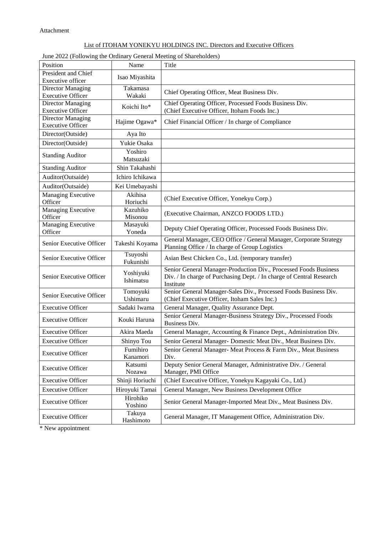#### June 2022 (Following the Ordinary General Meeting of Shareholders)

| Position                                             | Name                      | Title                                                                           |
|------------------------------------------------------|---------------------------|---------------------------------------------------------------------------------|
| President and Chief                                  | Isao Miyashita            |                                                                                 |
| <b>Executive officer</b>                             |                           |                                                                                 |
| <b>Director Managing</b>                             | Takamasa                  | Chief Operating Officer, Meat Business Div.                                     |
| <b>Executive Officer</b><br><b>Director Managing</b> | Wakaki                    | Chief Operating Officer, Processed Foods Business Div.                          |
| <b>Executive Officer</b>                             | Koichi Ito*               | (Chief Executive Officer, Itoham Foods Inc.)                                    |
| <b>Director Managing</b>                             |                           |                                                                                 |
| <b>Executive Officer</b>                             | Hajime Ogawa*             | Chief Financial Officer / In charge of Compliance                               |
| Director(Outside)                                    | Aya Ito                   |                                                                                 |
| Director(Outside)                                    | Yukie Osaka               |                                                                                 |
| <b>Standing Auditor</b>                              | Yoshiro                   |                                                                                 |
|                                                      | Matsuzaki                 |                                                                                 |
| <b>Standing Auditor</b>                              | Shin Takahashi            |                                                                                 |
| Auditor(Outsaide)                                    | Ichiro Ichikawa           |                                                                                 |
| Auditor(Outsaide)                                    | Kei Umebayashi            |                                                                                 |
| Managing Executive                                   | Akihisa                   | (Chief Executive Officer, Yonekyu Corp.)                                        |
| Officer                                              | Horiuchi                  |                                                                                 |
| Managing Executive<br>Officer                        | Kazuhiko<br>Misonou       | (Executive Chairman, ANZCO FOODS LTD.)                                          |
| Managing Executive                                   | Masayuki                  |                                                                                 |
| Officer                                              | Yoneda                    | Deputy Chief Operating Officer, Processed Foods Business Div.                   |
|                                                      |                           | General Manager, CEO Office / General Manager, Corporate Strategy               |
| Senior Executive Officer                             | Takeshi Koyama            | Planning Office / In charge of Group Logistics                                  |
| Senior Executive Officer                             | Tsuyoshi<br>Fukunishi     | Asian Best Chicken Co., Ltd. (temporary transfer)                               |
|                                                      | Yoshiyuki                 | Senior General Manager-Production Div., Processed Foods Business                |
| Senior Executive Officer                             | Ishimatsu                 | Div. / In charge of Purchasing Dept. / In charge of Central Research            |
|                                                      |                           | Institute                                                                       |
| Senior Executive Officer                             | Tomoyuki<br>Ushimaru      | Senior General Manager-Sales Div., Processed Foods Business Div.                |
|                                                      |                           | (Chief Executive Officer, Itoham Sales Inc.)                                    |
| <b>Executive Officer</b>                             | Sadaki Iwama              | General Manager, Quality Assurance Dept.                                        |
| <b>Executive Officer</b>                             | Kouki Haruna              | Senior General Manager-Business Strategy Div., Processed Foods<br>Business Div. |
| <b>Executive Officer</b>                             | Akira Maeda               | General Manager, Accounting & Finance Dept., Administration Div.                |
| <b>Executive Officer</b>                             | Shinyo Tou                | Senior General Manager- Domestic Meat Div., Meat Business Div.                  |
| <b>Executive Officer</b>                             | Fumihiro                  | Senior General Manager- Meat Process & Farm Div., Meat Business                 |
|                                                      | Kanamori                  | Div.                                                                            |
| <b>Executive Officer</b>                             | Katsumi                   | Deputy Senior General Manager, Administrative Div. / General                    |
| <b>Executive Officer</b>                             | Nozawa<br>Shinji Horiuchi | Manager, PMI Office<br>(Chief Executive Officer, Yonekyu Kagayaki Co., Ltd.)    |
| <b>Executive Officer</b>                             |                           |                                                                                 |
|                                                      | Hiroyuki Tamai            | General Manager, New Business Development Office                                |
| <b>Executive Officer</b>                             | Hirohiko<br>Yoshino       | Senior General Manager-Imported Meat Div., Meat Business Div.                   |
| <b>Executive Officer</b>                             | Takuya<br>Hashimoto       | General Manager, IT Management Office, Administration Div.                      |
|                                                      |                           |                                                                                 |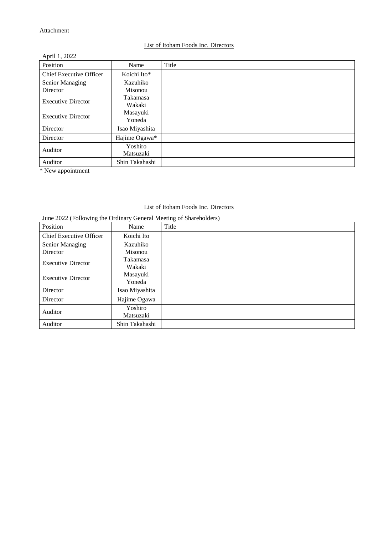#### List of Itoham Foods Inc. Directors

| April 1, 2022                  |                |       |
|--------------------------------|----------------|-------|
| Position                       | Name           | Title |
| <b>Chief Executive Officer</b> | Koichi Ito*    |       |
| <b>Senior Managing</b>         | Kazuhiko       |       |
| Director                       | Misonou        |       |
| <b>Executive Director</b>      | Takamasa       |       |
|                                | Wakaki         |       |
| <b>Executive Director</b>      | Masayuki       |       |
|                                | Yoneda         |       |
| Director                       | Isao Miyashita |       |
| Director                       | Hajime Ogawa*  |       |
| Auditor                        | Yoshiro        |       |
|                                | Matsuzaki      |       |
| Auditor                        | Shin Takahashi |       |

\* New appointment

# List of Itoham Foods Inc. Directors

June 2022 (Following the Ordinary General Meeting of Shareholders)

| Position                       | Name           | Title |
|--------------------------------|----------------|-------|
| <b>Chief Executive Officer</b> | Koichi Ito     |       |
| Senior Managing                | Kazuhiko       |       |
| Director                       | Misonou        |       |
| <b>Executive Director</b>      | Takamasa       |       |
|                                | Wakaki         |       |
| <b>Executive Director</b>      | Masayuki       |       |
|                                | Yoneda         |       |
| Director                       | Isao Miyashita |       |
| Director                       | Hajime Ogawa   |       |
| Auditor                        | Yoshiro        |       |
|                                | Matsuzaki      |       |
| Auditor                        | Shin Takahashi |       |